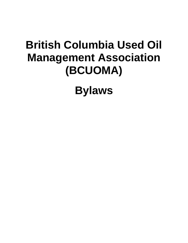# **British Columbia Used Oil Management Association (BCUOMA)**

**Bylaws**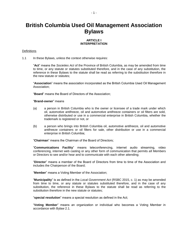# **British Columbia Used Oil Management Association Bylaws**

# **ARTICLE I INTERPRETATION**

#### **Definitions**

1.1 In these Bylaws, unless the context otherwise requires:

"**Act**" means the *Societies Act* of the Province of British Columbia, as may be amended from time to time, or any statute or statutes substituted therefore, and in the case of any substitution, the reference in these Bylaws to the statute shall be read as referring to the substitution therefore in the new statute or statutes;

"**Association**" means the association incorporated as the British Columbia Used Oil Management Association;

"**Board**" means the Board of Directors of the Association;

#### "**Brand-owner**" means

- (a) a person in British Columbia who is the owner or licensee of a trade mark under which oil, automotive antifreeze, oil and automotive antifreeze containers or oil filters are sold, otherwise distributed or use in a commercial enterprise in British Columbia, whether the trademark is registered or not, or
- (b) a person who brings into British Columbia oil, automotive antifreeze, oil and automotive antifreeze containers or oil filters for sale, other distribution or use in a commercial enterprise in British Columbia;

"**Chairman**" means the Chairman of the Board of Directors;

"**Communications Facility**" means teleconferencing, internet audio streaming, video conferencing, internet web casting or any other form of communication that permits all Members or Directors to see and/or hear and to communicate with each other attending;

"**Director**" means a member of the Board of Directors from time to time of the Association and includes the Chairperson of the Board;

"**Member**" means a Voting Member of the Association;

"**Municipality**" is as defined in the *Local Government Act* (RSBC 2015, c. 1) as may be amended from time to time, or any statute or statutes substituted therefore, and in the case of any substitution, the reference in these Bylaws to the statute shall be read as referring to the substitution therefore in the new statute or statutes;

"**special resolution**" means a special resolution as defined in the Act;

"**Voting Member**" means an organization or individual who becomes a Voting Member in accordance with Bylaw 2.1.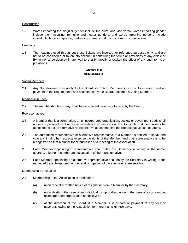#### **Construction**

1.2 Words importing the singular gender include the plural and vice versa; words importing gender include the masculine, feminine and neuter genders; and words importing persons include individuals, bodies corporate, partnerships, trusts and unincorporated organizations.

# **Headings**

1.3 The headings used throughout these Bylaws are inserted for reference purposes only, and are not to be considered or taken into account in construing the terms or provisions of any Article or Bylaw nor to be deemed in any way to qualify, modify or explain the effect of any such terms or provisions.

# **ARTICLE II MEMBERSHIP**

# Voting Members

2.1 Any Brand-owner may apply to the Board for Voting Membership in the Association, and on payment of the required fees and acceptance by the Board, becomes a Voting Member.

# Membership Fees

2.2 The membership fee, if any, shall be determined, from time to time, by the Board.

#### Representatives.

- 2.3 A Member that is a corporation, an unincorporated organization, society or government body shall appoint a person to act as its representative at meetings of the Association. A person may be appointed to act as alternative representative at any meeting the representative cannot attend.
- 2.4 The authorized representative or alternative representative of a Member is entitled to speak and vote and in all other respects exercise the rights of the Member, and that representative is to be recognized as that Member for all purposes at a meeting of the Association.
- 2.5 Each Member appointing a representative shall notify the Secretary in writing of the name, address, telephone number and occupation of the representative.
- 2.6 Each Member appointing an alternative representative shall notify the Secretary in writing of the name, address, telephone number and occupation of the alternate representative.

#### Membership Termination

- 2.7 Membership in the Association is terminated:
	- (a) upon receipt of written notice of resignation from a Member by the Secretary.
	- (b) upon death in the case of an individual, or upon dissolution in the case of a corporation, unincorporated organization or society; or
	- (c) at the direction of the Board, if a Member is in arrears of payment of any fees or payments owing to the Association for more than sixty (60) days.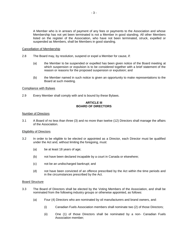A Member who is in arrears of payment of any fees or payments to the Association and whose Membership has not yet been terminated is not a Member in good standing. All other Members listed on the register of the Association, who have not been terminated, struck, expelled or suspended as Members, shall be Members in good standing.

# Cancellation of Membership

- 2.8 The Board may, by resolution, suspend or expel a Member for cause, if:
	- (a) the Member to be suspended or expelled has been given notice of the Board meeting at which suspension or expulsion is to be considered together with a brief statement of the reason or reasons for the proposed suspension or expulsion; and
	- (b) the Member named in such notice is given an opportunity to make representations to the Board at such meeting.

# Compliance with Bylaws

2.9 Every Member shall comply with and is bound by these Bylaws.

# **ARTICLE III BOARD OF DIRECTORS**

#### Number of Directors

3.1 A Board of no less than three (3) and no more than twelve (12) Directors shall manage the affairs of the Association.

# Eligibility of Directors

- 3.2 In order to be eligible to be elected or appointed as a Director, each Director must be qualified under the Act and, without limiting the foregoing, must:
	- (a) be at least 18 years of age;
	- (b) not have been declared incapable by a court in Canada or elsewhere;
	- (c) not be an undischarged bankrupt; and
	- (d) not have been convicted of an offence prescribed by the Act within the time periods and in the circumstances prescribed by the Act.

#### Board Structure

- 3.3 The Board of Directors shall be elected by the Voting Members of the Association, and shall be nominated from the following industry groups or otherwise appointed, as follows:
	- (a) Four (4) Directors who are nominated by oil manufacturers and brand owners, and:
		- (i) Canadian Fuels Association members shall nominate two (2) of those Directors;
		- (ii) One (1) of those Directors shall be nominated by a non- Canadian Fuels Association member;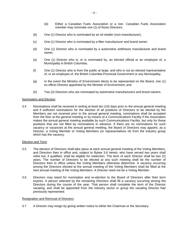- (iii) Either a Canadian Fuels Association or a non- Canadian Fuels Association member may nominate one (1) of those Directors;
- (b) One (1) Director who is nominated by an oil retailer (non-manufacturer);
- (c) One (1) Director who is nominated by a filter manufacturer and brand owner;
- (d) One (1) Director who is nominated by a automotive antifreeze manufacturer and brand owner;
- (e) One (1) Director who is, or is nominated by, an elected official or an employee of, a Municipality in British Columbia;
- (f) One (1) Director who is from the public at large, and who is not an elected representative of, or an employee of, the British Columbia Provincial Government or any Municipality;
- (g) In the event the Ministry of Environment elects to be represented on the Board, one (1) ex-officio Director appointed by the Minister of Environment; and
- (h) Two (2) Directors who are nominated by automotive manufacturers and brand owners.

#### Nomination and Election

3.4 Nominations shall be received in writing at least ten (10) days prior to the annual general meeting and if sufficient nominations for the election of all positions of Directors to be elected by the Members are not received prior to the annual general meeting, nominations shall be accepted from the floor at the general meeting or by means of a Communications Facility if the Association makes the annual general meeting available by such Communications Facility, but only for those positions that are not filled by nominations in advance. If there are no nominations for such vacancy or vacancies at the annual general meeting, the Board of Directors may appoint, as a Director, a Voting Member or Voting Members (or representatives of) from the industry group which has the vacancy.

# Election and Term

- 3.5 The election of Directors shall take place at each annual general meeting of the Voting Members, and Directors then in office and, subject to Bylaw 3.6 herein, who have served two years shall retire but, if qualified, shall be eligible for reelection. The term of each Director shall be two (2) years. The number of Directors to be elected at any such meeting shall be the number of Directors then in office unless the Voting Members otherwise determine. A vacancy occurring among the Directors elected at the annual meeting of the Voting Members shall be filled at the next annual meeting of the Voting Members. A Director need not be a Voting Member.
- 3.6 Directors may stand for nomination and re-election to the Board of Directors after their term expires. A person selected by the remaining Directors shall fill a vacancy occurring among the Directors during the course of the year. That person shall complete the term of the Director vacating, and shall be appointed from the industry sector or group the vacating Director had previously represented.

#### Resignation and Removal of Directors

3.7 A Director may resign by giving written notice to either the Chairman or the Secretary.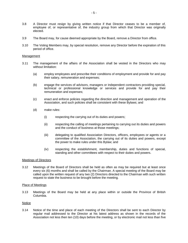- 3.8 A Director must resign by giving written notice if that Director ceases to be a member of, employee of, or representative of, the industry group from which that Director was originally elected.
- 3.9 The Board may, for cause deemed appropriate by the Board, remove a Director from office.
- 3.10 The Voting Members may, by special resolution, remove any Director before the expiration of this period of office.

#### Management

- 3.11 The management of the affairs of the Association shall be vested in the Directors who may without limitation:
	- (a) employ employees and prescribe their conditions of employment and provide for and pay their salary, remuneration and expenses;
	- (b) engage the services of advisors, managers or independent contractors providing special, technical or professional knowledge or services and provide for and pay their remuneration and expenses;
	- (c) enact and enforce policies regarding the direction and management and operation of the Association, and such policies shall be consistent with these Bylaws; and
	- (d) make rules:
		- (i) respecting the carrying out of its duties and powers;
		- (ii) respecting the calling of meetings pertaining to carrying out its duties and powers and the conduct of business at those meetings;
		- (iii) delegating to qualified Association Directors, officers, employees or agents or a committee of the Association, the carrying out of its duties and powers, except the power to make rules under this Bylaw; and
		- (iv) respecting the establishment, membership, duties and functions of special, standing and other committees with respect to their duties and powers.

#### Meetings of Directors

3.12 Meetings of the Board of Directors shall be held as often as may be required but at least once every six (6) months and shall be called by the Chairman. A special meeting of the Board may be called upon the written request of any two (2) Directors directed to the Chairman with such written request to state the business to be brought before the meeting.

#### Place of Meetings

3.13 Meetings of the Board may be held at any place within or outside the Province of British Columbia.

#### Notice

3.14 Notice of the time and place of each meeting of the Directors shall be sent to each Director by regular mail addressed to the Director at his latest address as shown in the records of the Association not less then ten (10) days before the meeting, or by electronic mail not less than five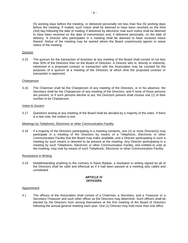(5) working days before the meeting, or delivered personally not less than five (5) working days before the meeting. If mailed, such notice shall be deemed to have been received on the third (3rd) day following the date of mailing; if delivered by electronic mail such notice shall be deemed to have been received on the date of transmission and, if delivered personally, on the date of delivery. A Director who participates in a meeting shall be deemed to have received notice thereof. Notice of the meeting may be waived where the Board unanimously agrees to waive notice of the meeting.

# Quorum

3.15 The quorum for the transaction of business at any meeting of the Board shall consist of not less than 50% of the Directors then on the Board of Directors. A Director who is, directly or indirectly, interested in a proposed contract or transaction with the Association may be counted for the purposes of a quorum at a meeting of the Directors at which time the proposed contract or transaction is approved.

# **Chairperson**

3.16 The Chairman shall be the Chairperson of any meeting of the Directors, or in his absence, the Secretary shall be the Chairperson of any meeting of the Directors, and if none of those persons are present, or if such persons decline to act, the Directors present shall choose one (1) of their number to be Chairperson.

# Votes to Govern

3.17 Questions arising at any meeting of the Board shall be decided by a majority of the votes. If there is a tied vote, the motion is lost.

#### Meetings by Telephonic, Electronic or other Communication Facility

3.18 If a majority of the Directors participating in a meeting consents, one (1) or more Director(s) may participate in a meeting of the Directors by means of a Telephonic, Electronic or other Communication Facility that the Board may make available, and a Director participating in such a meeting by such means is deemed to be present at the meeting. Any Director participating in a meeting by such Telephonic, Electronic or other Communication Facility, and entitled to vote at the meeting, may vote by means of such Telephonic, Electronic or other Communication Facility.

#### Resolutions in Writing

3.19 Notwithstanding anything to the contrary in these Bylaws, a resolution in writing signed by all of the Directors shall be valid and effectual as if it had been passed at a meeting duly called and constituted.

# **ARTICLE IV OFFICERS**

#### Appointment

4.1 The officers of the Association shall consist of a Chairman, a Secretary, and a Treasurer or a Secretary-Treasurer and such other officer as the Directors may determine. Such officers shall be elected by the Directors from among themselves at the first meeting of the Board of Directors following the annual general meeting each year. One (1) Director may hold more than one office.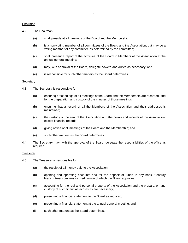# Chairman

- 4.2 The Chairman:
	- (a) shall preside at all meetings of the Board and the Membership;
	- (b) is a non-voting member of all committees of the Board and the Association, but may be a voting member of any committee as determined by the committee;
	- (c) shall present a report of the activities of the Board to Members of the Association at the annual general meeting;
	- (d) may, with approval of the Board, delegate powers and duties as necessary; and
	- (e) is responsible for such other matters as the Board determines.

# **Secretary**

- 4.3 The Secretary is responsible for:
	- (a) ensuring proceedings of all meetings of the Board and the Membership are recorded, and for the preparation and custody of the minutes of those meetings;
	- (b) ensuring that a record of all the Members of the Association and their addresses is maintained;
	- (c) the custody of the seal of the Association and the books and records of the Association, except financial records;
	- (d) giving notice of all meetings of the Board and the Membership; and
	- (e) such other matters as the Board determines.
- 4.4 The Secretary may, with the approval of the Board, delegate the responsibilities of the office as required.

#### **Treasurer**

- 4.5 The Treasurer is responsible for:
	- (a) the receipt of all money paid to the Association;
	- (b) opening and operating accounts and for the deposit of funds in any bank, treasury branch, trust company or credit union of which the Board approves;
	- (c) accounting for the real and personal property of the Association and the preparation and custody of such financial records as are necessary;
	- (d) presenting a financial statement to the Board as required;
	- (e) presenting a financial statement at the annual general meeting; and
	- (f) such other matters as the Board determines.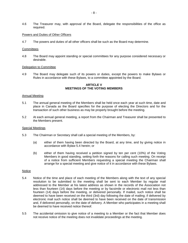4.6 The Treasurer may, with approval of the Board, delegate the responsibilities of the office as required.

#### Powers and Duties of Other Officers

4.7 The powers and duties of all other officers shall be such as the Board may determine.

#### **Committees**

4.8 The Board may appoint standing or special committees for any purpose considered necessary or desirable.

#### Delegation to Committee

4.9 The Board may delegate such of its powers or duties, except the powers to make Bylaws or Rules in accordance with these Bylaws, to a committee appointed by the Board.

# **ARTICLE V MEETINGS OF THE VOTING MEMBERS**

#### Annual Meeting

- 5.1 The annual general meeting of the Members shall be held once each year at such time, date and place in Canada as the Board specifies for the purpose of electing the Directors and for the transaction of such other business as may be properly brought before the meeting.
- 5.2 At each annual general meeting, a report from the Chairman and Treasurer shall be presented to the Members present.

#### Special Meetings

- 5.3 The Chairman or Secretary shall call a special meeting of the Members, by:
	- (a) either of them having been directed by the Board, at any time, and by giving notice in accordance with Bylaw 5.4 herein; or
	- (b) either of them having received a petition signed by ten per cent (10%) of the Voting Members in good standing, setting forth the reasons for calling such meeting. On receipt of a notice from sufficient Members requesting a special meeting the Chairman shall arrange for a special meeting and give notice of it in accordance with these Bylaws.

#### Notice

- 5.4 Notice of the time and place of each meeting of the Members along with the text of any special resolution to be submitted to the meeting shall be sent to each Member by regular mail addressed to the Member at his latest address as shown in the records of the Association not less than fourteen (14) days before the meeting or by facsimile or electronic mail not less than fourteen (14) days before the meeting, or delivered personally. If mailed, such notice shall be deemed to have been received on the third (3rd) day following the date of mailing; if delivered by electronic mail such notice shall be deemed to have been received on the date of transmission and, if delivered personally, on the date of delivery. A Member who participates in a meeting shall be deemed to have received notice thereof.
- 5.5 The accidental omission to give notice of a meeting to a Member or the fact that Member does not receive notice of the meeting does not invalidate proceedings at the meeting.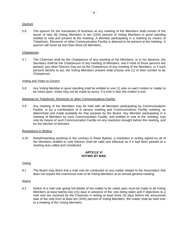# Quorum

5.6 The quorum for the transaction of business at any meeting of the Members shall consist of the lesser of nine (9) Voting Members or ten (10%) percent of Voting Members in good standing entitled to vote and present at the meeting. A Member participating in a meeting by means of Telephonic, Electronic or other Communication Facility is deemed to be present at the meeting. A quorum will never be less than three (3) Members.

# Chairperson

5.7 The Chairman shall be the Chairperson of any meeting of the Members, or in his absence, the Secretary shall be the Chairperson of any meeting of Members, and if none of those persons are present, any other Director may act as the Chairperson of any meeting of the Members, or if such persons decline to act, the Voting Members present shall choose one (1) of their number to be Chairperson.

#### Voting and Votes to Govern

5.8 Any Voting Member in good standing shall be entitled to one (1) vote on each motion or matter to be voted upon. Votes may not be made by proxy. If a vote is tied, the motion is lost.

#### Meetings by Telephonic, Electronic or other Communications Facility

5.9 Any meeting of the Members may be held with all Members participating by Communications Facility, or by a combination of in person meeting and Communications Facility meeting, as determined and made available for that purpose by the Board. Any Member participating in a meeting of Members by such Communication Facility, and entitled to vote at the meeting, may vote by means of such Communication Facility on any resolution brought before the meeting, and for the election of directors.

#### Resolutions in Writing

5.10 Notwithstanding anything to the contrary in these Bylaws, a resolution in writing signed by all of the Members entitled to vote thereon shall be valid and effectual as if it had been passed at a meeting duly called and constituted.

# **ARTICLE VI VOTING BY MAIL**

#### Voting

6.1 The Board may direct that a mail vote be conducted on any matter related to the Association that does not require the unanimous vote of all Voting Members at an annual general meeting.

#### Notice

6.2 Notice of a mail vote giving full details of the matter to be voted upon must be made to all Voting Members at least twenty-one (21) days in advance of the vote being taken and if objections to a mail vote are received by the Chairman in writing at least three (3) days before the announced date of the vote from at least ten (10%) percent of Voting Members, the matter shall be held over to a meeting of the Voting Members.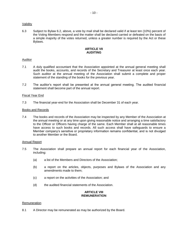# Validity

6.3 Subject to Bylaw 6.2, above, a vote by mail shall be declared valid if at least ten (10%) percent of the Voting Members respond and the matter shall be declared carried or defeated on the basis of a simple majority of the votes returned, unless a greater number is required by the Act or these Bylaws.

# **ARTICLE VII AUDITING**

# Auditor

- 7.1 A duly qualified accountant that the Association appointed at the annual general meeting shall audit the books, accounts, and records of the Secretary and Treasurer at least once each year. Such auditor at the annual meeting of the Association shall submit a complete and proper statement of the standing of the books for the previous year.
- 7.2 The auditor's report shall be presented at the annual general meeting. The audited financial statement shall become part of the annual report.

# Fiscal Year End

7.3 The financial year-end for the Association shall be December 31 of each year.

# Books and Records

7.4 The books and records of the Association may be inspected by any Member of the Association at the annual meeting or at any time upon giving reasonable notice and arranging a time satisfactory to the Officer or Officers having charge of the same. Each Member shall at all reasonable times have access to such books and records. All such access shall have safeguards to ensure a Member company's sensitive or proprietary information remains confidential, and is not divulged to another Member or the Board.

#### Annual Report

- 7.5 The Association shall prepare an annual report for each financial year of the Association, including:
	- (a) a list of the Members and Directors of the Association;
	- (b) a report on the articles, objects, purposes and Bylaws of the Association and any amendments made to them;
	- (c) a report on the activities of the Association; and
	- (d) the audited financial statements of the Association.

# **ARTICLE VIII REMUNERATION**

#### Remuneration

8.1 A Director may be remunerated as may be authorized by the Board.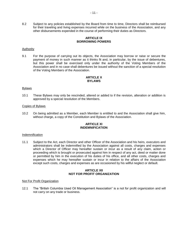8.2 Subject to any policies established by the Board from time to time, Directors shall be reimbursed for their traveling and living expenses incurred while on the business of the Association, and any other disbursements expended in the course of performing their duties as Directors.

# **ARTICLE IX BORROWING POWERS**

# **Authority**

9.1 For the purpose of carrying out its objects, the Association may borrow or raise or secure the payment of money in such manner as it thinks fit and, in particular, by the issue of debentures, but this power shall be exercised only under the authority of the Voting Members of the Association and in no case shall debentures be issued without the sanction of a special resolution of the Voting Members of the Association.

# **ARTICLE X BYLAWS**

# Bylaws

10.1 These Bylaws may only be rescinded, altered or added to if the revision, alteration or addition is approved by a special resolution of the Members.

# Copies of Bylaws

10.2 On being admitted as a Member, each Member is entitled to and the Association shall give him, without charge, a copy of the Constitution and Bylaws of the Association.

# **ARTICLE XI INDEMNIFICATION**

#### Indemnification

11.1 Subject to the Act, each Director and other Officer of the Association and his heirs, executors and administrators shall be indemnified by the Association against all costs, charges and expenses which a Director of Officer may hereafter sustain or incur as a result of any claim, action or proceeding which is brought or prosecuted against him in respect of any act, deed or matter done or permitted by him in the execution of his duties of his office, and all other costs, charges and expenses which he may hereafter sustain or incur in relation to the affairs of the Association except such costs, charges and expenses as are occasioned by his willful neglect or default.

# **ARTICLE XII NOT FOR PROFIT ORGANIZATION**

#### Not For Profit Organization

12.1 The "British Columbia Used Oil Management Association" is a not for profit organization and will not carry on any trade or business.